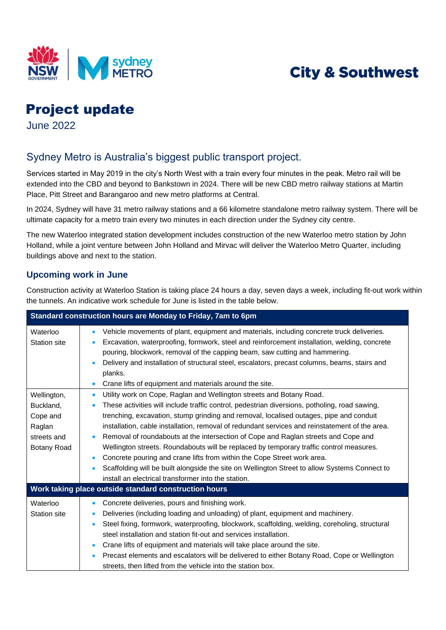

# **City & Southwest**

# Project update

June 2022

## Sydney Metro is Australia's biggest public transport project.

Services started in May 2019 in the city's North West with a train every four minutes in the peak. Metro rail will be extended into the CBD and beyond to Bankstown in 2024. There will be new CBD metro railway stations at Martin Place, Pitt Street and Barangaroo and new metro platforms at Central.

 In 2024, Sydney will have 31 metro railway stations and a 66 kilometre standalone metro railway system. There will be ultimate capacity for a metro train every two minutes in each direction under the Sydney city centre.

The new Waterloo integrated station development includes construction of the new Waterloo metro station by John Holland, while a joint venture between John Holland and Mirvac will deliver the Waterloo Metro Quarter, including buildings above and next to the station.

#### **Upcoming work in June**

Construction activity at Waterloo Station is taking place 24 hours a day, seven days a week, including fit-out work within the tunnels. An indicative work schedule for June is listed in the table below.

| Standard construction hours are Monday to Friday, 7am to 6pm                        |                                                                                                                                                                                                                                                                                                                                                                                                                                                                                                                                                                                                                                                                                                                                                                                                                              |  |
|-------------------------------------------------------------------------------------|------------------------------------------------------------------------------------------------------------------------------------------------------------------------------------------------------------------------------------------------------------------------------------------------------------------------------------------------------------------------------------------------------------------------------------------------------------------------------------------------------------------------------------------------------------------------------------------------------------------------------------------------------------------------------------------------------------------------------------------------------------------------------------------------------------------------------|--|
| Waterloo<br><b>Station site</b>                                                     | Vehicle movements of plant, equipment and materials, including concrete truck deliveries.<br>$\bullet$<br>Excavation, waterproofing, formwork, steel and reinforcement installation, welding, concrete<br>pouring, blockwork, removal of the capping beam, saw cutting and hammering.<br>Delivery and installation of structural steel, escalators, precast columns, beams, stairs and<br>planks.<br>Crane lifts of equipment and materials around the site.<br>$\bullet$                                                                                                                                                                                                                                                                                                                                                    |  |
| Wellington,<br>Buckland,<br>Cope and<br>Raglan<br>streets and<br><b>Botany Road</b> | Utility work on Cope, Raglan and Wellington streets and Botany Road.<br>$\bullet$<br>These activities will include traffic control, pedestrian diversions, potholing, road sawing,<br>trenching, excavation, stump grinding and removal, localised outages, pipe and conduit<br>installation, cable installation, removal of redundant services and reinstatement of the area.<br>Removal of roundabouts at the intersection of Cope and Raglan streets and Cope and<br>Wellington streets. Roundabouts will be replaced by temporary traffic control measures.<br>Concrete pouring and crane lifts from within the Cope Street work area.<br>$\bullet$<br>Scaffolding will be built alongside the site on Wellington Street to allow Systems Connect to<br>$\bullet$<br>install an electrical transformer into the station. |  |
| Work taking place outside standard construction hours                               |                                                                                                                                                                                                                                                                                                                                                                                                                                                                                                                                                                                                                                                                                                                                                                                                                              |  |
| Waterloo<br><b>Station site</b>                                                     | Concrete deliveries, pours and finishing work.<br>$\bullet$<br>Deliveries (including loading and unloading) of plant, equipment and machinery.<br>$\bullet$<br>Steel fixing, formwork, waterproofing, blockwork, scaffolding, welding, coreholing, structural<br>$\bullet$<br>steel installation and station fit-out and services installation.<br>Crane lifts of equipment and materials will take place around the site.<br>$\bullet$<br>Precast elements and escalators will be delivered to either Botany Road, Cope or Wellington<br>$\bullet$<br>streets, then lifted from the vehicle into the station box.                                                                                                                                                                                                           |  |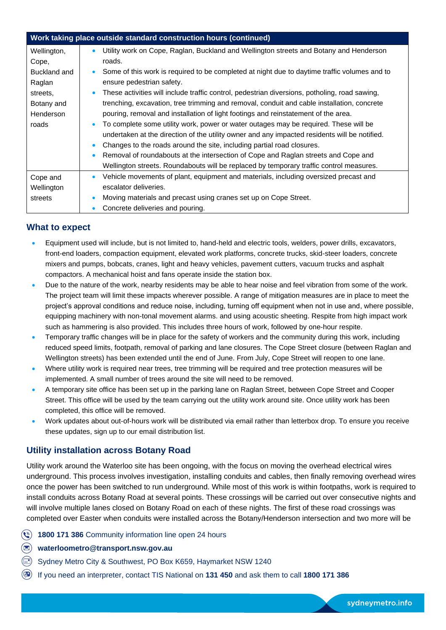| Work taking place outside standard construction hours (continued) |                                                                                                            |  |
|-------------------------------------------------------------------|------------------------------------------------------------------------------------------------------------|--|
| Wellington,                                                       | Utility work on Cope, Raglan, Buckland and Wellington streets and Botany and Henderson<br>$\bullet$        |  |
| Cope,                                                             | roads.                                                                                                     |  |
| Buckland and                                                      | Some of this work is required to be completed at night due to daytime traffic volumes and to<br>$\bullet$  |  |
| Raglan                                                            | ensure pedestrian safety.                                                                                  |  |
| streets.                                                          | These activities will include traffic control, pedestrian diversions, potholing, road sawing,<br>$\bullet$ |  |
| Botany and                                                        | trenching, excavation, tree trimming and removal, conduit and cable installation, concrete                 |  |
| Henderson                                                         | pouring, removal and installation of light footings and reinstatement of the area.                         |  |
| roads                                                             | To complete some utility work, power or water outages may be required. These will be<br>$\bullet$          |  |
|                                                                   | undertaken at the direction of the utility owner and any impacted residents will be notified.              |  |
|                                                                   | Changes to the roads around the site, including partial road closures.<br>$\bullet$                        |  |
|                                                                   | Removal of roundabouts at the intersection of Cope and Raglan streets and Cope and<br>$\bullet$            |  |
|                                                                   | Wellington streets. Roundabouts will be replaced by temporary traffic control measures.                    |  |
| Cope and                                                          | Vehicle movements of plant, equipment and materials, including oversized precast and<br>$\bullet$          |  |
| Wellington                                                        | escalator deliveries.                                                                                      |  |
| streets                                                           | Moving materials and precast using cranes set up on Cope Street.<br>$\bullet$                              |  |
|                                                                   | Concrete deliveries and pouring.<br>$\bullet$                                                              |  |

#### **What to expect**

- Equipment used will include, but is not limited to, hand-held and electric tools, welders, power drills, excavators, front-end loaders, compaction equipment, elevated work platforms, concrete trucks, skid-steer loaders, concrete mixers and pumps, bobcats, cranes, light and heavy vehicles, pavement cutters, vacuum trucks and asphalt compactors. A mechanical hoist and fans operate inside the station box.
- Due to the nature of the work, nearby residents may be able to hear noise and feel vibration from some of the work. The project team will limit these impacts wherever possible. A range of mitigation measures are in place to meet the project's approval conditions and reduce noise, including, turning off equipment when not in use and, where possible, equipping machinery with non-tonal movement alarms. and using acoustic sheeting. Respite from high impact work such as hammering is also provided. This includes three hours of work, followed by one-hour respite.
- Temporary traffic changes will be in place for the safety of workers and the community during this work, including reduced speed limits, footpath, removal of parking and lane closures. The Cope Street closure (between Raglan and Wellington streets) has been extended until the end of June. From July, Cope Street will reopen to one lane.
- Where utility work is required near trees, tree trimming will be required and tree protection measures will be implemented. A small number of trees around the site will need to be removed.
- A temporary site office has been set up in the parking lane on Raglan Street, between Cope Street and Cooper Street. This office will be used by the team carrying out the utility work around site. Once utility work has been completed, this office will be removed.
- Work updates about out-of-hours work will be distributed via email rather than letterbox drop. To ensure you receive these updates, sign up to our email distribution list.

#### **Utility installation across Botany Road**

Utility work around the Waterloo site has been ongoing, with the focus on moving the overhead electrical wires underground. This process involves investigation, installing conduits and cables, then finally removing overhead wires once the power has been switched to run underground. While most of this work is within footpaths, work is required to install conduits across Botany Road at several points. These crossings will be carried out over consecutive nights and will involve multiple lanes closed on Botany Road on each of these nights. The first of these road crossings was completed over Easter when conduits were installed across the Botany/Henderson intersection and two more will be

- **1800 171 386** Community information line open 24 hours
- **[waterloometro@transport.nsw.gov.au](mailto:sydneymetro@transport.nsw.gov.au)**
- Sydney Metro City & Southwest, PO Box K659, Haymarket NSW 1240
- If you need an interpreter, contact TIS National on **131 450** and ask them to call **1800 171 386**